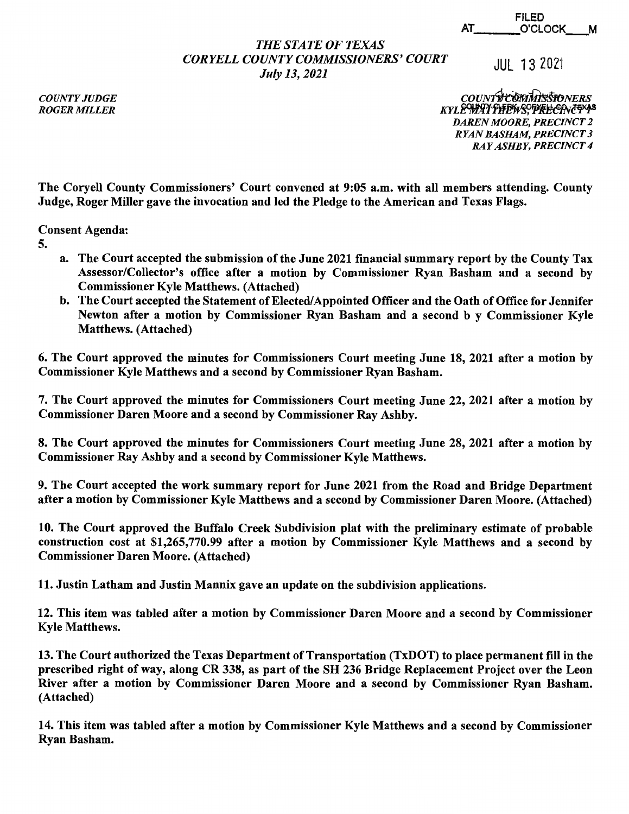|    | <b>FILED</b> |   |
|----|--------------|---|
| AT | O'CLOCK____  | M |

## *THE STATE OF TEXAS CORYELLCOUNTYCOMMISSIONERS'COURT July 13, 2021*

JUL 13 2021

*COUNTY JUDGE ROGER MILLER* 

*couNfifflI-JitshoNERS KYLE<del>WIATFFE'WS</del>, PFFEECFNEFYP DAREN MOORE, PRECINCT 2 RYAN BASHAM, PRECINCT 3 RAY ASHBY, PRECINCT 4* 

The Coryell County Commissioners' Court convened at 9:05 a.m. with all members attending. County Judge, Roger Miller gave the invocation and led the Pledge to the American and Texas Flags.

Consent Agenda:

- 5.
- a. The Court accepted the submission of the June 2021 financial summary report by the County Tax Assessor/Collector's office after a motion by Commissioner Ryan Basham and a second by Commissioner Kyle Matthews. (Attached)
- b. The Court accepted the Statement of Elected/Appointed Officer and the Oath of Office for Jennifer Newton after a motion by Commissioner Ryan Basham and a second b y Commissioner Kyle Matthews. (Attached)

6. The Court approved the minutes for Commissioners Court meeting June 18, 2021 after a motion by Commissioner Kyle Matthews and a second by Commissioner Ryan Basham.

7. The Court approved the minutes for Commissioners Court meeting June 22, 2021 after a motion by Commissioner Daren Moore and a second by Commissioner Ray Ashby.

8. The Court approved the minutes for Commissioners Court meeting June 28, 2021 after a motion by Commissioner Ray Ashby and a second by Commissioner Kyle Matthews.

9. The Court accepted the work summary report for June 2021 from the Road and Bridge Department after a motion by Commissioner Kyle Matthews and a second by Commissioner Daren Moore. (Attached)

10. The Court approved the Buffalo Creek Subdivision plat with the preliminary estimate of probable construction cost at \$1,265,770.99 after a motion by Commissioner Kyle Matthews and a second by Commissioner Daren Moore. (Attached)

11. Justin Latham and Justin Mannix gave an update on the subdivision applications.

12. This item was tabled after a motion by Commissioner Daren Moore and a second by Commissioner Kyle Matthews.

13. The Court authorized the Texas Department of Transportation (TxDOT) to place permanent fill in the prescribed right of way, along CR 338, as part of the SH 236 Bridge Replacement Project over the Leon River after a motion by Commissioner Daren Moore and a second by Commissioner Ryan Basham. (Attached)

14. This item was tabled after a motion by Commissioner Kyle Matthews and a second by Commissioner Ryan Basham.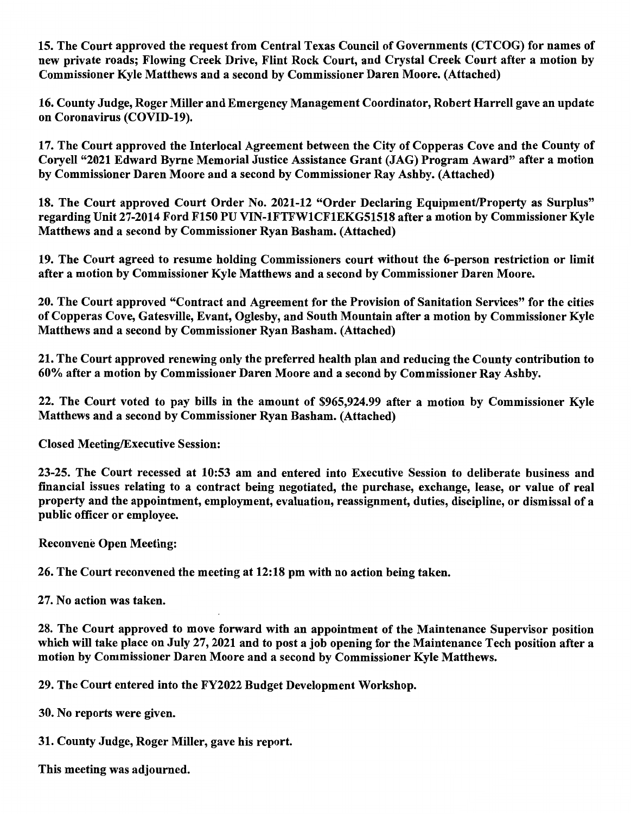15. The Court approved the request from Central Texas Council of Governments (CTCOG) for names of new private roads; Flowing Creek Drive, Flint Rock Court, and Crystal Creek Court after a motion by Commissioner Kyle Matthews and a second by Commissioner Daren Moore. (Attached)

16. County Judge, Roger Miller and Emergency Management Coordinator, Robert Harrell gave an update on Coronavirus (COVID-19).

17. The Court approved the Interlocal Agreement between the City of Copperas Cove and the County of Coryell "2021 Edward Byrne Memorial Justice Assistance Grant (JAG) Program Award" after a motion by Commissioner Daren Moore and a second by Commissioner Ray Ashby. (Attached)

18. The Court approved Court Order No. 2021-12 "Order Declaring Equipment/Property as Surplus" regarding Unit 27-2014 Ford F150 PU VIN-1FTFW1CF1EKG51518 after a motion by Commissioner Kyle Matthews and a second by Commissioner Ryan Basham. (Attached)

19. The Court agreed to resume holding Commissioners court without the 6-person restriction or limit after a motion by Commissioner Kyle Matthews and a second by Commissioner Daren Moore.

20. The Court approved "Contract and Agreement for the Provision of Sanitation Services" for the cities of Copperas Cove, Gatesville, Evant, Oglesby, and South Mountain after a motion by Commissioner Kyle Matthews and a second by Commissioner Ryan Basham. (Attached)

21. The Court approved renewing only the preferred health plan and reducing the County contribution to 60% after a motion by Commissioner Daren Moore and a second by Commissioner Ray Ashby.

22. The Court voted to pay bills in the amount of \$965,924.99 after a motion by Commissioner Kyle Matthews and a second by Commissioner Ryan Basham. (Attached)

Closed Meeting/Executive Session:

23-25. The Court recessed at 10:53 am and entered into Executive Session to deliberate business and financial issues relating to a contract being negotiated, the purchase, exchange, lease, or value of real property and the appointment, employment, evaluation, reassignment, duties, discipline, or dismissal of a public officer or employee.

Reconvene Open Meeting:

26. The Court reconvened the meeting at 12:18 pm with no action being taken.

27. No action was taken.

28. The Court approved to move forward with an appointment of the Maintenance Supervisor position which will take place on July 27, 2021 and to post a job opening for the Maintenance Tech position after a motion by Commissioner Daren Moore and a second by Commissioner Kyle Matthews.

29. The Court entered into the FY2022 Budget Development Workshop.

30. No reports were given.

31. County Judge, Roger Miller, gave his report.

This meeting was adjourned.